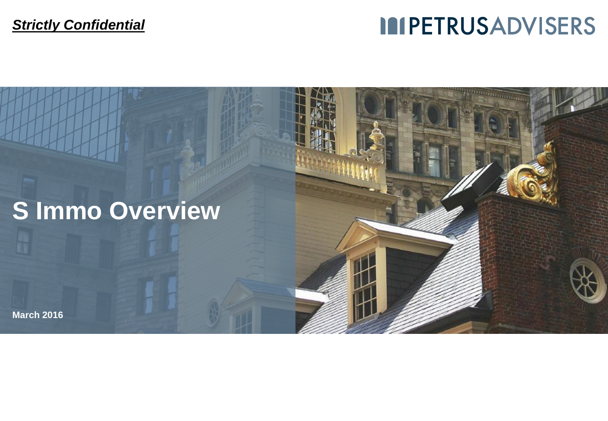# **IMPETRUSADVISERS**

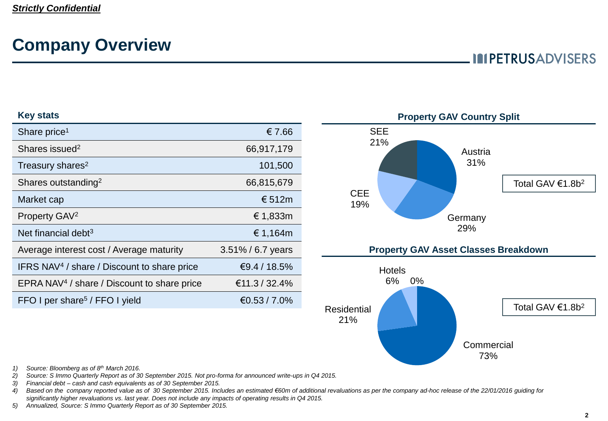## **Company Overview**

### **IMPETRUSADVISERS**

#### **Key stats**

| Share price <sup>1</sup>                                | € 7.66               |
|---------------------------------------------------------|----------------------|
| Shares issued <sup>2</sup>                              | 66,917,179           |
| Treasury shares <sup>2</sup>                            | 101,500              |
| Shares outstanding <sup>2</sup>                         | 66,815,679           |
| Market cap                                              | € 512m               |
| Property GAV <sup>2</sup>                               | € 1,833m             |
| Net financial debt $3$                                  | € 1,164m             |
| Average interest cost / Average maturity                | $3.51\% / 6.7$ years |
| IFRS NAV <sup>4</sup> / share / Discount to share price | €9.4 / 18.5%         |
| EPRA NAV <sup>4</sup> / share / Discount to share price | €11.3 / 32.4%        |
| FFO I per share <sup>5</sup> / FFO I yield              | €0.53 / 7.0%         |



*1) Source: Bloomberg as of 8th March 2016.*

*2) Source: S Immo Quarterly Report as of 30 September 2015. Not pro-forma for announced write-ups in Q4 2015.*

*3) Financial debt – cash and cash equivalents as of 30 September 2015.*

*4) Based on the company reported value as of 30 September 2015. Includes an estimated €60m of additional revaluations as per the company ad-hoc release of the 22/01/2016 guiding for significantly higher revaluations vs. last year. Does not include any impacts of operating results in Q4 2015.*

*5) Annualized, Source: S Immo Quarterly Report as of 30 September 2015.*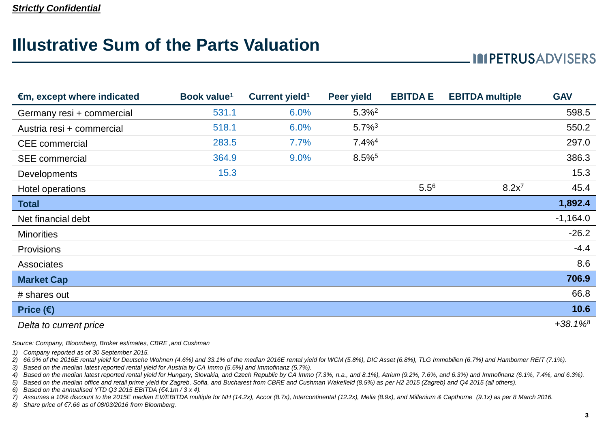## **Illustrative Sum of the Parts Valuation**

### **IMPETRUSADVISERS**

| $\epsilon$ m, except where indicated | Book value <sup>1</sup> | Current yield <sup>1</sup> | <b>Peer yield</b>    | <b>EBITDA E</b> | <b>EBITDA</b> multiple | <b>GAV</b>             |
|--------------------------------------|-------------------------|----------------------------|----------------------|-----------------|------------------------|------------------------|
| Germany resi + commercial            | 531.1                   | 6.0%                       | 5.3% <sup>2</sup>    |                 |                        | 598.5                  |
| Austria resi + commercial            | 518.1                   | 6.0%                       | $5.7\%$ <sup>3</sup> |                 |                        | 550.2                  |
| <b>CEE</b> commercial                | 283.5                   | 7.7%                       | $7.4\%$ <sup>4</sup> |                 |                        | 297.0                  |
| <b>SEE</b> commercial                | 364.9                   | 9.0%                       | 8.5%                 |                 |                        | 386.3                  |
| <b>Developments</b>                  | 15.3                    |                            |                      |                 |                        | 15.3                   |
| Hotel operations                     |                         |                            |                      | $5.5^{6}$       | $8.2x^{7}$             | 45.4                   |
| <b>Total</b>                         |                         |                            |                      |                 |                        | 1,892.4                |
| Net financial debt                   |                         |                            |                      |                 |                        | $-1,164.0$             |
| <b>Minorities</b>                    |                         |                            |                      |                 |                        | $-26.2$                |
| Provisions                           |                         |                            |                      |                 |                        | $-4.4$                 |
| Associates                           |                         |                            |                      |                 |                        | 8.6                    |
| <b>Market Cap</b>                    |                         |                            |                      |                 |                        | 706.9                  |
| # shares out                         |                         |                            |                      |                 |                        | 66.8                   |
| Price $(\epsilon)$                   |                         |                            |                      |                 |                        | 10.6                   |
| Delta to current price               |                         |                            |                      |                 |                        | $+38.1\%$ <sup>8</sup> |

*Source: Company, Bloomberg, Broker estimates, CBRE ,and Cushman*

*1) Company reported as of 30 September 2015.*

*2) 66.9% of the 2016E rental yield for Deutsche Wohnen (4.6%) and 33.1% of the median 2016E rental yield for WCM (5.8%), DIC Asset (6.8%), TLG Immobilien (6.7%) and Hamborner REIT (7.1%).*

*3) Based on the median latest reported rental yield for Austria by CA Immo (5.6%) and Immofinanz (5.7%).*

*4) Based on the median latest reported rental yield for Hungary, Slovakia, and Czech Republic by CA Immo (7.3%, n.a., and 8.1%), Atrium (9.2%, 7.6%, and 6.3%) and Immofinanz (6.1%, 7.4%, and 6.3%).*

*5) Based on the median office and retail prime yield for Zagreb, Sofia, and Bucharest from CBRE and Cushman Wakefield (8.5%) as per H2 2015 (Zagreb) and Q4 2015 (all others).*

*6) Based on the annualised YTD Q3 2015 EBITDA (€4.1m / 3 x 4).*

*7) Assumes a 10% discount to the 2015E median EV/EBITDA multiple for NH (14.2x), Accor (8.7x), Intercontinental (12.2x), Melia (8.9x), and Millenium & Capthorne (9.1x) as per 8 March 2016.*

*8) Share price of €7.66 as of 08/03/2016 from Bloomberg.*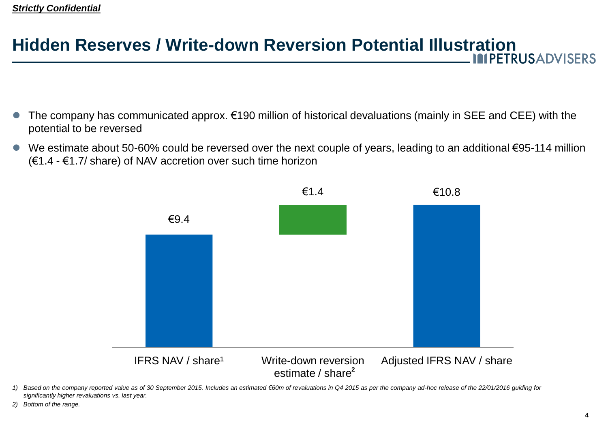# **Hidden Reserves / Write-down Reversion Potential Illustration**

- The company has communicated approx. €190 million of historical devaluations (mainly in SEE and CEE) with the potential to be reversed
- We estimate about 50-60% could be reversed over the next couple of years, leading to an additional €95-114 million (€1.4 - €1.7/ share) of NAV accretion over such time horizon



- *1) Based on the company reported value as of 30 September 2015. Includes an estimated €60m of revaluations in Q4 2015 as per the company ad-hoc release of the 22/01/2016 guiding for significantly higher revaluations vs. last year.*
- *2) Bottom of the range.*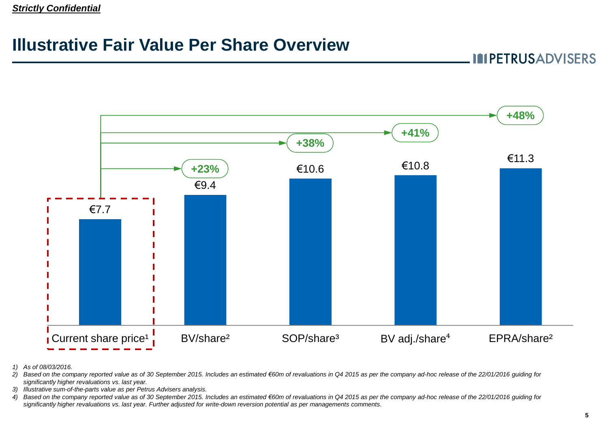#### *Strictly Confidential*

## **Illustrative Fair Value Per Share Overview**

**IMPETRUSADVISERS** 



*1) As of 08/03/2016.*

2) Based on the company reported value as of 30 September 2015. Includes an estimated €60m of revaluations in Q4 2015 as per the company ad-hoc release of the 22/01/2016 guiding for *significantly higher revaluations vs. last year.*

- *3) Illustrative sum-of-the-parts value as per Petrus Advisers analysis.*
- *4) Based on the company reported value as of 30 September 2015. Includes an estimated €60m of revaluations in Q4 2015 as per the company ad-hoc release of the 22/01/2016 guiding for significantly higher revaluations vs. last year. Further adjusted for write-down reversion potential as per managements comments.*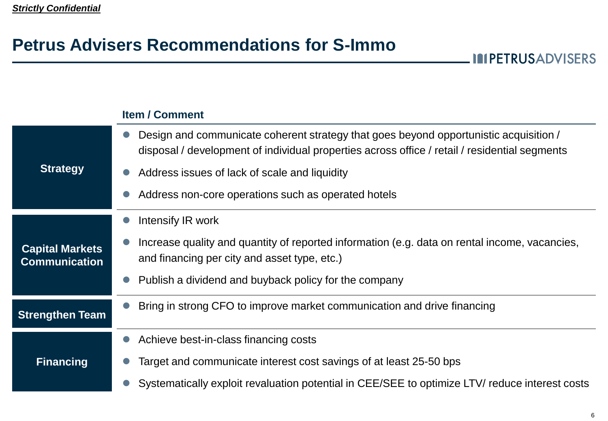## **Petrus Advisers Recommendations for S-Immo**

|                                                | <b>Item / Comment</b>                                                                                                                                                                  |  |  |  |  |
|------------------------------------------------|----------------------------------------------------------------------------------------------------------------------------------------------------------------------------------------|--|--|--|--|
| <b>Strategy</b>                                | Design and communicate coherent strategy that goes beyond opportunistic acquisition /<br>disposal / development of individual properties across office / retail / residential segments |  |  |  |  |
|                                                | Address issues of lack of scale and liquidity                                                                                                                                          |  |  |  |  |
|                                                | Address non-core operations such as operated hotels                                                                                                                                    |  |  |  |  |
|                                                | Intensify IR work                                                                                                                                                                      |  |  |  |  |
| <b>Capital Markets</b><br><b>Communication</b> | Increase quality and quantity of reported information (e.g. data on rental income, vacancies,<br>and financing per city and asset type, etc.)                                          |  |  |  |  |
|                                                | Publish a dividend and buyback policy for the company                                                                                                                                  |  |  |  |  |
| <b>Strengthen Team</b>                         | Bring in strong CFO to improve market communication and drive financing                                                                                                                |  |  |  |  |
|                                                | Achieve best-in-class financing costs                                                                                                                                                  |  |  |  |  |
| <b>Financing</b>                               | Target and communicate interest cost savings of at least 25-50 bps                                                                                                                     |  |  |  |  |
|                                                | Systematically exploit revaluation potential in CEE/SEE to optimize LTV/ reduce interest costs                                                                                         |  |  |  |  |